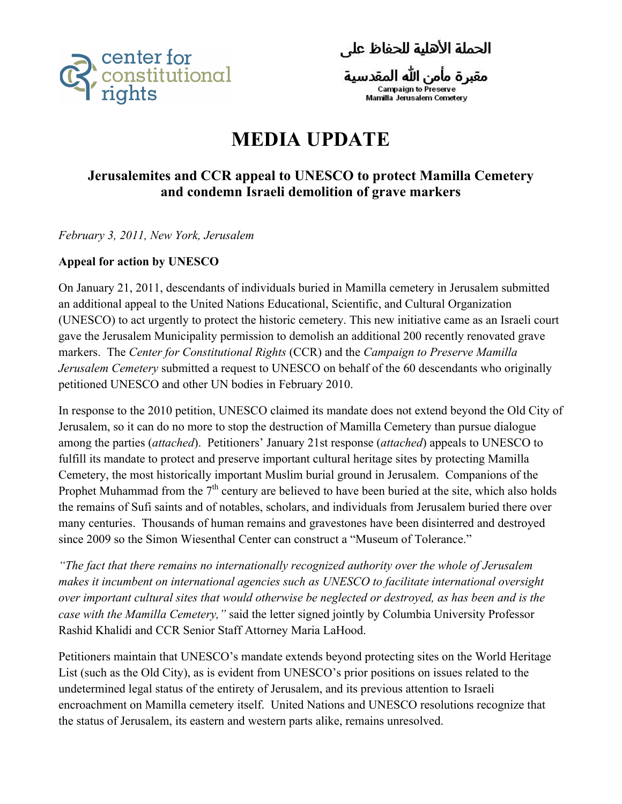

الحملة الأهلية للحفاظ على

مقبرة مأمن الله المقدسية<br><sub>Campaign to Preserve</sub>

## **MEDIA UPDATE**

## **Jerusalemites and CCR appeal to UNESCO to protect Mamilla Cemetery and condemn Israeli demolition of grave markers**

*February 3, 2011, New York, Jerusalem*

## **Appeal for action by UNESCO**

On January 21, 2011, descendants of individuals buried in Mamilla cemetery in Jerusalem submitted an additional appeal to the United Nations Educational, Scientific, and Cultural Organization (UNESCO) to act urgently to protect the historic cemetery. This new initiative came as an Israeli court gave the Jerusalem Municipality permission to demolish an additional 200 recently renovated grave markers. The *Center for Constitutional Rights* (CCR) and the *Campaign to Preserve Mamilla Jerusalem Cemetery* submitted a request to UNESCO on behalf of the 60 descendants who originally petitioned UNESCO and other UN bodies in February 2010.

In response to the 2010 petition, UNESCO claimed its mandate does not extend beyond the Old City of Jerusalem, so it can do no more to stop the destruction of Mamilla Cemetery than pursue dialogue among the parties (*attached*). Petitioners' January 21st response (*attached*) appeals to UNESCO to fulfill its mandate to protect and preserve important cultural heritage sites by protecting Mamilla Cemetery, the most historically important Muslim burial ground in Jerusalem. Companions of the Prophet Muhammad from the  $7<sup>th</sup>$  century are believed to have been buried at the site, which also holds the remains of Sufi saints and of notables, scholars, and individuals from Jerusalem buried there over many centuries. Thousands of human remains and gravestones have been disinterred and destroyed since 2009 so the Simon Wiesenthal Center can construct a "Museum of Tolerance."

*"The fact that there remains no internationally recognized authority over the whole of Jerusalem makes it incumbent on international agencies such as UNESCO to facilitate international oversight over important cultural sites that would otherwise be neglected or destroyed, as has been and is the case with the Mamilla Cemetery,"* said the letter signed jointly by Columbia University Professor Rashid Khalidi and CCR Senior Staff Attorney Maria LaHood.

Petitioners maintain that UNESCO's mandate extends beyond protecting sites on the World Heritage List (such as the Old City), as is evident from UNESCO's prior positions on issues related to the undetermined legal status of the entirety of Jerusalem, and its previous attention to Israeli encroachment on Mamilla cemetery itself. United Nations and UNESCO resolutions recognize that the status of Jerusalem, its eastern and western parts alike, remains unresolved.